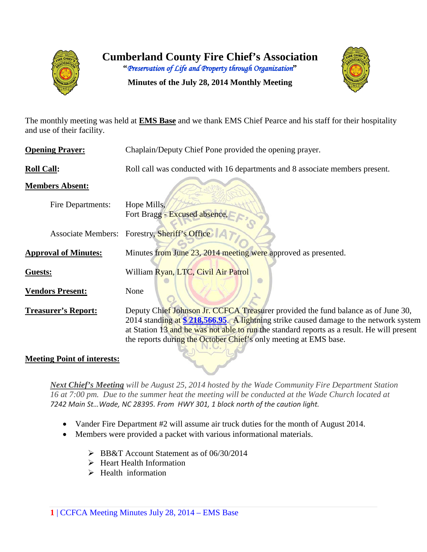



**Minutes of the July 28, 2014 Monthly Meeting**

The monthly meeting was held at **EMS Base** and we thank EMS Chief Pearce and his staff for their hospitality and use of their facility.

| <b>Opening Prayer:</b>             | Chaplain/Deputy Chief Pone provided the opening prayer.                                                                                                                                                                                                                                                                                       |
|------------------------------------|-----------------------------------------------------------------------------------------------------------------------------------------------------------------------------------------------------------------------------------------------------------------------------------------------------------------------------------------------|
| <b>Roll Call:</b>                  | Roll call was conducted with 16 departments and 8 associate members present.                                                                                                                                                                                                                                                                  |
| <b>Members Absent:</b>             |                                                                                                                                                                                                                                                                                                                                               |
| <b>Fire Departments:</b>           | Hope Mills,<br>Fort Bragg - Excused absence,                                                                                                                                                                                                                                                                                                  |
| <b>Associate Members:</b>          | Forestry, Sheriff's Office                                                                                                                                                                                                                                                                                                                    |
| <b>Approval of Minutes:</b>        | Minutes from June 23, 2014 meeting were approved as presented.                                                                                                                                                                                                                                                                                |
| Guests:                            | William Ryan, LTC, Civil Air Patrol                                                                                                                                                                                                                                                                                                           |
| <b>Vendors Present:</b>            | None                                                                                                                                                                                                                                                                                                                                          |
| <b>Treasurer's Report:</b>         | Deputy Chief Johnson Jr. CCFCA Treasurer provided the fund balance as of June 30,<br>2014 standing at \$ 218,566.95. A lightning strike caused damage to the network system<br>at Station 13 and he was not able to run the standard reports as a result. He will present<br>the reports during the October Chief's only meeting at EMS base. |
| <b>Meeting Point of interests:</b> |                                                                                                                                                                                                                                                                                                                                               |

*Next Chief's Meeting will be August 25, 2014 hosted by the Wade Community Fire Department Station 16 at 7:00 pm. Due to the summer heat the meeting will be conducted at the Wade Church located at 7242 Main St…Wade, NC 28395. From HWY 301, 1 block north of the caution light.*

- Vander Fire Department #2 will assume air truck duties for the month of August 2014.
- Members were provided a packet with various informational materials.
	- BB&T Account Statement as of 06/30/2014
	- $\triangleright$  Heart Health Information
	- $\triangleright$  Health information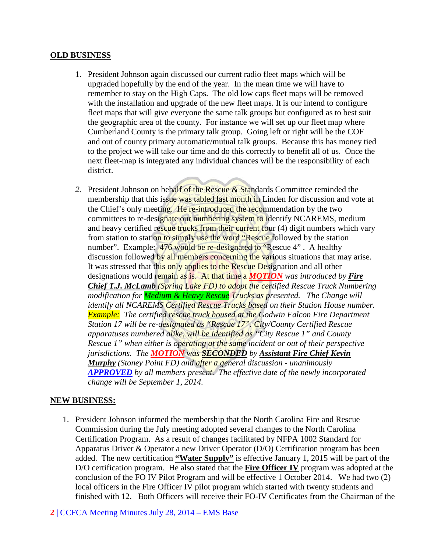#### **OLD BUSINESS**

- 1. President Johnson again discussed our current radio fleet maps which will be upgraded hopefully by the end of the year. In the mean time we will have to remember to stay on the High Caps. The old low caps fleet maps will be removed with the installation and upgrade of the new fleet maps. It is our intend to configure fleet maps that will give everyone the same talk groups but configured as to best suit the geographic area of the county. For instance we will set up our fleet map where Cumberland County is the primary talk group. Going left or right will be the COF and out of county primary automatic/mutual talk groups. Because this has money tied to the project we will take our time and do this correctly to benefit all of us. Once the next fleet-map is integrated any individual chances will be the responsibility of each district.
- *2.* President Johnson on behalf of the Rescue & Standards Committee reminded the membership that this issue was tabled last month in Linden for discussion and vote at the Chief's only meeting. He re-introduced the recommendation by the two committees to re-designate our numbering system to identify NCAREMS, medium and heavy certified rescue trucks from their current four (4) digit numbers which vary from station to station to simply use the word "Rescue followed by the station number". Example: 476 would be re-designated to "Rescue 4". A healthy discussion followed by all members concerning the various situations that may arise. It was stressed that this only applies to the Rescue Designation and all other designations would remain as is. At that time a *MOTION was introduced by Fire Chief T.J. McLamb (Spring Lake FD) to adopt the certified Rescue Truck Numbering modification for Medium & Heavy Rescue Trucks as presented. The Change will identify all NCAREMS Certified Rescue Trucks based on their Station House number. Example: The certified rescue truck housed at the Godwin Falcon Fire Department Station 17 will be re-designated as "Rescue 17". City/County Certified Rescue apparatuses numbered alike, will be identified as "City Rescue 1" and County Rescue 1" when either is operating at the same incident or out of their perspective jurisdictions. The MOTION was SECONDED by Assistant Fire Chief Kevin Murphy (Stoney Point FD) and after a general discussion - unanimously APPROVED by all members present. The effective date of the newly incorporated change will be September 1, 2014.*

# **NEW BUSINESS:**

- 1. President Johnson informed the membership that the North Carolina Fire and Rescue Commission during the July meeting adopted several changes to the North Carolina Certification Program. As a result of changes facilitated by NFPA 1002 Standard for Apparatus Driver & Operator a new Driver Operator (D/O) Certification program has been added. The new certification **"Water Supply"** is effective January 1, 2015 will be part of the D/O certification program. He also stated that the **Fire Officer IV** program was adopted at the conclusion of the FO IV Pilot Program and will be effective 1 October 2014. We had two (2) local officers in the Fire Officer IV pilot program which started with twenty students and finished with 12. Both Officers will receive their FO-IV Certificates from the Chairman of the
- **2** | CCFCA Meeting Minutes July 28, 2014 EMS Base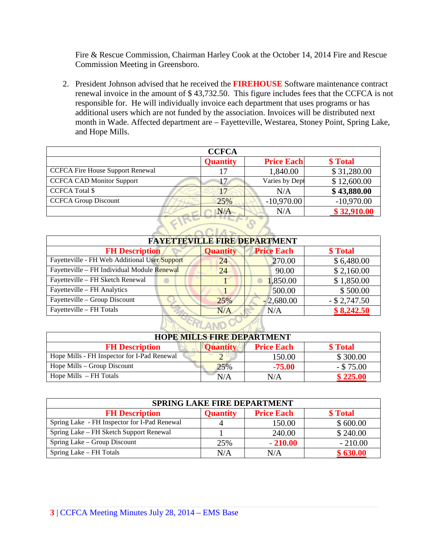Fire & Rescue Commission, Chairman Harley Cook at the October 14, 2014 Fire and Rescue Commission Meeting in Greensboro.

2. President Johnson advised that he received the **FIREHOUSE** Software maintenance contract renewal invoice in the amount of \$ 43,732.50. This figure includes fees that the CCFCA is not responsible for. He will individually invoice each department that uses programs or has additional users which are not funded by the association. Invoices will be distributed next month in Wade. Affected department are – Fayetteville, Westarea, Stoney Point, Spring Lake, and Hope Mills.

| <b>CCFCA</b>                            |                 |                   |              |  |  |  |  |  |  |  |
|-----------------------------------------|-----------------|-------------------|--------------|--|--|--|--|--|--|--|
|                                         | <b>Quantity</b> | <b>Price Each</b> | \$ Total     |  |  |  |  |  |  |  |
| <b>CCFCA Fire House Support Renewal</b> |                 | 1,840.00          | \$31,280.00  |  |  |  |  |  |  |  |
| <b>CCFCA CAD Monitor Support</b>        |                 | Varies by Dept    | \$12,600.00  |  |  |  |  |  |  |  |
| <b>CCFCA Total \$</b>                   | 17              | N/A               | \$43,880.00  |  |  |  |  |  |  |  |
| <b>CCFCA Group Discount</b>             | 25%             | $-10,970.00$      | $-10,970.00$ |  |  |  |  |  |  |  |
|                                         | N/A             | N/A               | \$32,910.00  |  |  |  |  |  |  |  |

| <b>FAYETTEVILLE FIRE DEPARTMENT</b>           |                 |                   |                 |  |  |  |  |  |  |
|-----------------------------------------------|-----------------|-------------------|-----------------|--|--|--|--|--|--|
| <b>FH Description</b>                         | <b>Quantity</b> | <b>Price Each</b> | \$ Total        |  |  |  |  |  |  |
| Fayetteville - FH Web Additional User Support | 24              | 270.00            | \$6,480.00      |  |  |  |  |  |  |
| Fayetteville - FH Individual Module Renewal   | 24              | 90.00             | \$2,160.00      |  |  |  |  |  |  |
| Fayetteville - FH Sketch Renewal              |                 | 1,850.00          | \$1,850.00      |  |  |  |  |  |  |
| Fayetteville – FH Analytics                   |                 | 500.00            | \$500.00        |  |  |  |  |  |  |
| Fayetteville – Group Discount                 | 25%             | $-2,680.00$       | $-$ \$ 2,747.50 |  |  |  |  |  |  |
| Fayetteville - FH Totals                      | N/A             | N/A               | \$8,242.50      |  |  |  |  |  |  |
|                                               |                 |                   |                 |  |  |  |  |  |  |

| <b>HOPE MILLS FIRE DEPARTMENT</b>                                         |     |          |              |  |  |  |  |  |  |
|---------------------------------------------------------------------------|-----|----------|--------------|--|--|--|--|--|--|
| \$ Total<br><b>FH Description</b><br><b>Price Each</b><br><b>Ouantity</b> |     |          |              |  |  |  |  |  |  |
| Hope Mills - FH Inspector for I-Pad Renewal                               |     | 150.00   | \$300.00     |  |  |  |  |  |  |
| Hope Mills $-$ Group Discount                                             | 25% | $-75.00$ | $-$ \$ 75.00 |  |  |  |  |  |  |
| Hope Mills $-FH$ Totals                                                   | N/A | N/A      | \$225.00     |  |  |  |  |  |  |

| <b>SPRING LAKE FIRE DEPARTMENT</b>                                        |     |           |           |  |  |  |  |  |  |  |
|---------------------------------------------------------------------------|-----|-----------|-----------|--|--|--|--|--|--|--|
| <b>Price Each</b><br>\$ Total<br><b>FH Description</b><br><b>Quantity</b> |     |           |           |  |  |  |  |  |  |  |
| Spring Lake - FH Inspector for I-Pad Renewal                              |     | 150.00    | \$600.00  |  |  |  |  |  |  |  |
| Spring Lake - FH Sketch Support Renewal                                   |     | 240.00    | \$240.00  |  |  |  |  |  |  |  |
| Spring Lake – Group Discount                                              | 25% | $-210.00$ | $-210.00$ |  |  |  |  |  |  |  |
| Spring Lake – FH Totals                                                   | N/A | N/A       | \$630.00  |  |  |  |  |  |  |  |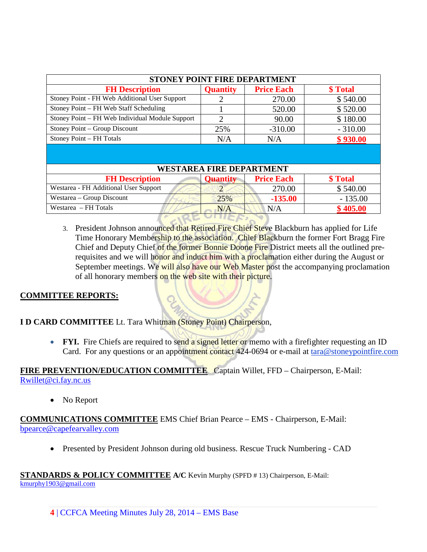| STONEY POINT FIRE DEPARTMENT                    |                                 |                   |           |  |  |  |  |  |  |
|-------------------------------------------------|---------------------------------|-------------------|-----------|--|--|--|--|--|--|
| <b>FH Description</b>                           | <b>Quantity</b>                 | <b>Price Each</b> | \$Total   |  |  |  |  |  |  |
| Stoney Point - FH Web Additional User Support   |                                 | 270.00            | \$540.00  |  |  |  |  |  |  |
| Stoney Point – FH Web Staff Scheduling          |                                 | 520.00            | \$520.00  |  |  |  |  |  |  |
| Stoney Point – FH Web Individual Module Support | 2                               | 90.00             | \$180.00  |  |  |  |  |  |  |
| Stoney Point – Group Discount                   | 25%                             | $-310.00$         | $-310.00$ |  |  |  |  |  |  |
| Stoney Point - FH Totals                        | N/A                             | \$930.00<br>N/A   |           |  |  |  |  |  |  |
|                                                 |                                 |                   |           |  |  |  |  |  |  |
|                                                 | <b>WESTAREA FIRE DEPARTMENT</b> |                   |           |  |  |  |  |  |  |
| <b>FH</b> Description                           | <b>Quantity</b>                 | <b>Price Each</b> | \$Total   |  |  |  |  |  |  |
| Westarea - FH Additional User Support           | $\mathcal{D}_{\cdot}$           | 270.00            | \$540.00  |  |  |  |  |  |  |
| Westarea – Group Discount                       | 25%                             | $-135.00$         | $-135.00$ |  |  |  |  |  |  |
| Westarea – FH Totals                            | N/A                             | N/A               | \$405.00  |  |  |  |  |  |  |

3. President Johnson announced that Retired Fire Chief Steve Blackburn has applied for Life Time Honorary Membership to the association. Chief Blackburn the former Fort Bragg Fire Chief and Deputy Chief of the former Bonnie Doone Fire District meets all the outlined prerequisites and we will honor and induct him with a proclamation either during the August or September meetings. We will also have our Web Master post the accompanying proclamation of all honorary members on the web site with their picture.

# **COMMITTEE REPORTS:**

**I D CARD COMMITTEE** Lt. Tara Whitman (Stoney Point) Chairperson,

• **FYI.** Fire Chiefs are required to send a signed letter or memo with a firefighter requesting an ID Card. For any questions or an appointment contact 424-0694 or e-mail at [tara@stoneypointfire.com](mailto:tara@stoneypointfire.com)

# **FIRE PREVENTION/EDUCATION COMMITTEE** Captain Willet, FFD – Chairperson, E-Mail: [Rwillet@ci.fay.nc.us](mailto:Rwillet@ci.fay.nc.us)

• No Report

# **COMMUNICATIONS COMMITTEE** EMS Chief Brian Pearce – EMS - Chairperson, E-Mail: bpearce@capefearvalley.com

• Presented by President Johnson during old business. Rescue Truck Numbering - CAD

# **STANDARDS & POLICY COMMITTEE A/C** Kevin Murphy (SPFD # 13) Chairperson, E-Mail:

[kmurphy1903@gmail.com](mailto:kmurphy1903@gmail.com)

**4** | CCFCA Meeting Minutes July 28, 2014 – EMS Base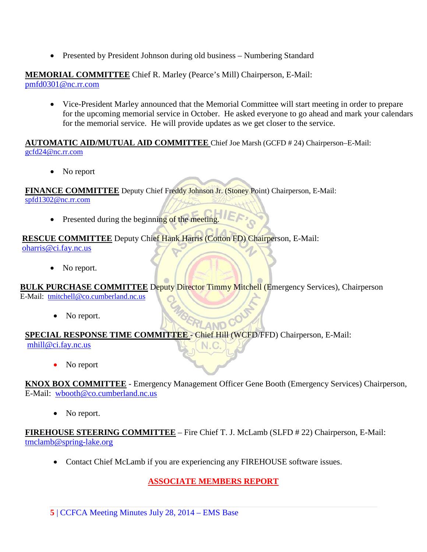• Presented by President Johnson during old business – Numbering Standard

#### **MEMORIAL COMMITTEE** Chief R. Marley (Pearce's Mill) Chairperson, E-Mail: [pmfd0301@nc.rr.com](mailto:pmfd0301@nc.rr.com)

• Vice-President Marley announced that the Memorial Committee will start meeting in order to prepare for the upcoming memorial service in October. He asked everyone to go ahead and mark your calendars for the memorial service. He will provide updates as we get closer to the service.

#### **AUTOMATIC AID/MUTUAL AID COMMITTEE** Chief Joe Marsh (GCFD # 24) Chairperson–E-Mail: [gcfd24@nc.rr.com](mailto:gcfd24@nc.rr.com)

• No report

**FINANCE COMMITTEE** Deputy Chief Freddy Johnson Jr. (Stoney Point) Chairperson, E-Mail: [spfd1302@nc.rr.com](mailto:spfd1302@nc.rr.com)

• Presented during the beginning of the meeting.

# **RESCUE COMMITTEE** Deputy Chief Hank Harris (Cotton FD) Chairperson, E-Mail:

[oharris@ci.fay.nc.us](mailto:oharris@ci.fay.nc.us)

No report.

**BULK PURCHASE COMMITTEE** Deputy Director Timmy Mitchell (Emergency Services), Chairperson E-Mail: [tmitchell@co.cumberland.nc.us](mailto:tmitchell@co.cumberland.nc.us)

• No report.

# **SPECIAL RESPONSE TIME COMMITTEE** - Chief Hill (WCFD/FFD) Chairperson, E-Mail:

[mhill@ci.fay.nc.us](mailto:mhill@ci.fay.nc.us)

• No report

**KNOX BOX COMMITTEE** - Emergency Management Officer Gene Booth (Emergency Services) Chairperson, E-Mail: [wbooth@co.cumberland.nc.us](mailto:wbooth@co.cumberland.nc.us)

 $N.C.$ 

No report.

**FIREHOUSE STEERING COMMITTEE** – Fire Chief T. J. McLamb (SLFD # 22) Chairperson, E-Mail: [tmclamb@spring-lake.org](mailto:tmclamb@spring-lake.org)

• Contact Chief McLamb if you are experiencing any FIREHOUSE software issues.

# **ASSOCIATE MEMBERS REPORT**

**5** | CCFCA Meeting Minutes July 28, 2014 – EMS Base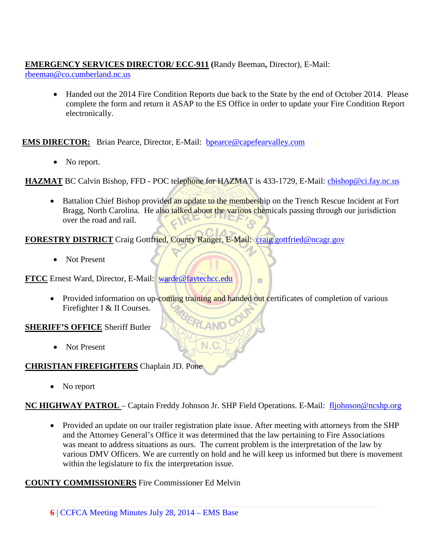# **EMERGENCY SERVICES DIRECTOR/ ECC-911 (**Randy Beeman**,** Director), E-Mail:

[rbeeman@co.cumberland.nc.us](mailto:rbeeman@co.cumberland.nc.us)

• Handed out the 2014 Fire Condition Reports due back to the State by the end of October 2014. Please complete the form and return it ASAP to the ES Office in order to update your Fire Condition Report electronically.

**EMS DIRECTOR:** Brian Pearce, Director, E-Mail: bpearce@capefearvalley.com

• No report.

HAZMAT BC Calvin Bishop, FFD - POC telephone for HAZMAT is 433-1729, E-Mail: *chishop@ci.fay.nc.us* 

• Battalion Chief Bishop provided an update to the membership on the Trench Rescue Incident at Fort Bragg, North Carolina. He also talked about the various chemicals passing through our jurisdiction over the road and rail.

**FORESTRY DISTRICT** Craig Gottfried, County Ranger, E-Mail: [craig.gottfried@ncagr.gov](mailto:craig.gottfried@ncagr.gov)

• Not Present

**FTCC** Ernest Ward, Director, E-Mail: [warde@faytechcc.edu](mailto:warde@faytechcc.edu)

• Provided information on up-coming training and handed out certificates of completion of various Firefighter I & II Courses.

 $\circ$ 

# **SHERIFF'S OFFICE** Sheriff Butler

• Not Present

# **CHRISTIAN FIREFIGHTERS** Chaplain JD. Pone

• No report

# **NC HIGHWAY PATROL** – Captain Freddy Johnson Jr. SHP Field Operations. E-Mail: [fljohnson@ncshp.org](mailto:fljohnson@ncshp.org)

 $N.C$ 

• Provided an update on our trailer registration plate issue. After meeting with attorneys from the SHP and the Attorney General's Office it was determined that the law pertaining to Fire Associations was meant to address situations as ours. The current problem is the interpretation of the law by various DMV Officers. We are currently on hold and he will keep us informed but there is movement within the legislature to fix the interpretation issue.

# **COUNTY COMMISSIONERS** Fire Commissioner Ed Melvin

**6** | CCFCA Meeting Minutes July 28, 2014 – EMS Base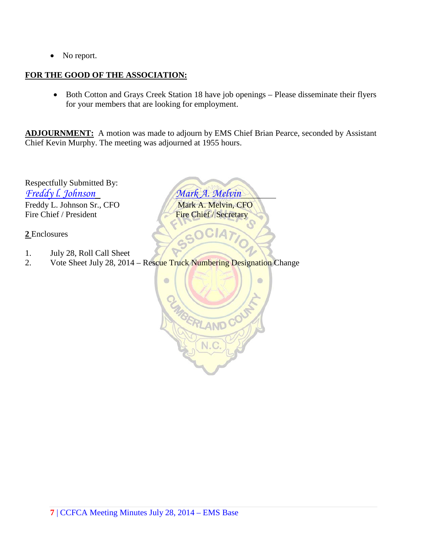• No report.

#### **FOR THE GOOD OF THE ASSOCIATION:**

• Both Cotton and Grays Creek Station 18 have job openings – Please disseminate their flyers for your members that are looking for employment.

**ADJOURNMENT:** A motion was made to adjourn by EMS Chief Brian Pearce, seconded by Assistant Chief Kevin Murphy. The meeting was adjourned at 1955 hours.

Respectfully Submitted By: *Freddy l. Johnson Mark A. Melvin* Freddy L. Johnson Sr., CFO Mark A. Melvin, CFO Fire Chief / President Fire Chief / Secretary

**2** Enclosures

- 1. July 28, Roll Call Sheet
- 2. Vote Sheet July 28, 2014 Rescue Truck Numbering Designation Change

 $\bullet$  $\bullet$ RLANDC N.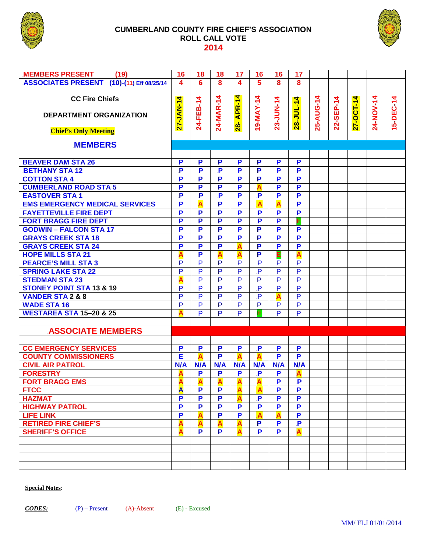

#### **CUMBERLAND COUNTY FIRE CHIEF'S ASSOCIATION ROLL CALL VOTE 2014**



| <b>MEMBERS PRESENT</b><br>(19)                                                         | 16                     | 18                      | 18               | 17             | 16                      | 16                      | 17                      |           |               |           |           |           |
|----------------------------------------------------------------------------------------|------------------------|-------------------------|------------------|----------------|-------------------------|-------------------------|-------------------------|-----------|---------------|-----------|-----------|-----------|
| ASSOCIATES PRESENT (10)-(11) Eff 08/25/14                                              | 4                      | 6                       | 8                | 4              | 5                       | 8                       | 8                       |           |               |           |           |           |
| <b>CC Fire Chiefs</b><br><b>DEPARTMENT ORGANIZATION</b><br><b>Chief's Only Meeting</b> | 4<br><b>7-ZAV-7-22</b> | 24-FEB-14               | 24-MAR-14        | 28- APR-14     | 19-MAY-14               | 23-JUN-14               | 28-JUL-14               | 25-AUG-14 | 4<br>22-SEP-1 | 27-OCT-14 | 24-NOV-14 | 15-DEC-14 |
| <b>MEMBERS</b>                                                                         |                        |                         |                  |                |                         |                         |                         |           |               |           |           |           |
|                                                                                        |                        |                         |                  |                |                         |                         |                         |           |               |           |           |           |
| <b>BEAVER DAM STA 26</b>                                                               | P                      | P                       | P                | P              | P                       | P                       | P                       |           |               |           |           |           |
| <b>BETHANY STA 12</b>                                                                  | P                      | $\overline{\mathbf{P}}$ | P                | P              | P                       | P                       | P                       |           |               |           |           |           |
| <b>COTTON STA 4</b>                                                                    | P                      | P                       | P                | P              | P                       | P                       | P                       |           |               |           |           |           |
| <b>CUMBERLAND ROAD STA 5</b>                                                           | P                      | P                       | P                | P              | A                       | P                       | P                       |           |               |           |           |           |
| <b>EASTOVER STA1</b>                                                                   | P                      | $\overline{\mathbf{P}}$ | P                | P              | $\overline{\mathbf{P}}$ | P                       | P                       |           |               |           |           |           |
| <b>EMS EMERGENCY MEDICAL SERVICES</b>                                                  | P                      | A                       | P                | P              | $\overline{\mathbf{A}}$ | A                       | P                       |           |               |           |           |           |
| <b>FAYETTEVILLE FIRE DEPT</b>                                                          | P                      | P                       | P                | P              | $\overline{\mathbf{P}}$ | $\overline{\mathsf{P}}$ | P                       |           |               |           |           |           |
| <b>FORT BRAGG FIRE DEPT</b>                                                            | P                      | P                       | P                | P              | P                       | P                       | E                       |           |               |           |           |           |
| <b>GODWIN - FALCON STA 17</b>                                                          | P                      | P                       | P                | P              | P                       | P                       | P                       |           |               |           |           |           |
| <b>GRAYS CREEK STA 18</b>                                                              | P                      | P                       | P                | P              | P                       | $\overline{\mathsf{P}}$ | P                       |           |               |           |           |           |
| <b>GRAYS CREEK STA 24</b>                                                              | P                      | P                       | P                | A              | P                       | P                       | P                       |           |               |           |           |           |
| <b>HOPE MILLS STA 21</b>                                                               | Δ                      | P                       | $\blacktriangle$ | A              | P                       | Ε                       | A                       |           |               |           |           |           |
| <b>PEARCE'S MILL STA 3</b>                                                             | P                      | $\overline{P}$          | $\overline{P}$   | $\overline{P}$ | $\overline{P}$          | $\overline{P}$          | P                       |           |               |           |           |           |
| <b>SPRING LAKE STA 22</b>                                                              | P                      | $\overline{P}$          | $\overline{P}$   | P              | $\overline{P}$          | P                       | $\overline{P}$          |           |               |           |           |           |
| <b>STEDMAN STA 23</b>                                                                  | Δ                      | $\overline{P}$          | $\overline{P}$   | P              | $\overline{P}$          | $\overline{P}$          | $\overline{P}$          |           |               |           |           |           |
| <b>STONEY POINT STA 13 &amp; 19</b>                                                    | P                      | $\overline{\mathsf{P}}$ | $\overline{P}$   | P              | $\overline{P}$          | $\overline{P}$          | P                       |           |               |           |           |           |
| <b>VANDER STA 2 &amp; 8</b>                                                            | P                      | P                       | $\overline{P}$   | P              | $\overline{\mathsf{P}}$ | A                       | P                       |           |               |           |           |           |
| <b>WADE STA 16</b>                                                                     | P                      | $\overline{P}$          | $\overline{P}$   | P              | P                       | $\overline{P}$          | P                       |           |               |           |           |           |
| <b>WESTAREA STA 15-20 &amp; 25</b>                                                     | Δ                      | $\overline{P}$          | $\overline{P}$   | $\overline{P}$ | E                       | P                       | $\overline{P}$          |           |               |           |           |           |
|                                                                                        |                        |                         |                  |                |                         |                         |                         |           |               |           |           |           |
| <b>ASSOCIATE MEMBERS</b>                                                               |                        |                         |                  |                |                         |                         |                         |           |               |           |           |           |
|                                                                                        |                        |                         |                  |                |                         |                         |                         |           |               |           |           |           |
| <b>CC EMERGENCY SERVICES</b>                                                           | P                      | P                       | P                | P              | $\mathbf P$             | P                       | P                       |           |               |           |           |           |
| <b>COUNTY COMMISSIONERS</b>                                                            | E                      | A                       | P                | A              | A                       | P                       | P                       |           |               |           |           |           |
| <b>CIVIL AIR PATROL</b>                                                                | N/A                    | N/A                     | N/A              | N/A            | N/A                     | N/A                     | N/A                     |           |               |           |           |           |
| <b>FORESTRY</b>                                                                        | А                      | P                       | P                | P              | P                       | P                       | A                       |           |               |           |           |           |
| <b>FORT BRAGG EMS</b>                                                                  |                        | A                       | $\mathbf{A}$     | A              | A                       | P                       | .P                      |           |               |           |           |           |
| <b>FTCC</b>                                                                            | A                      | P                       | P                | A              | $\overline{\mathsf{A}}$ | P                       | P                       |           |               |           |           |           |
| <b>HAZMAT</b>                                                                          | P                      | P                       | P                | A              | $\mathbf P$             | P                       | $\overline{\mathbf{P}}$ |           |               |           |           |           |
| <b>HIGHWAY PATROL</b>                                                                  | P                      | P                       | P                | P              | $\overline{\mathbf{P}}$ | P                       | $\overline{\mathbf{P}}$ |           |               |           |           |           |
| <b>LIFE LINK</b>                                                                       | P                      | A                       | P                | P              | $\overline{\mathbf{A}}$ | A                       | $\overline{\mathbf{P}}$ |           |               |           |           |           |
| <b>RETIRED FIRE CHIEF'S</b>                                                            | Α                      | A                       | A                | A              | P                       | P                       | $\overline{\mathbf{P}}$ |           |               |           |           |           |
| <b>SHERIFF'S OFFICE</b>                                                                |                        | P                       | P                | A              | P                       | P                       | A                       |           |               |           |           |           |
|                                                                                        |                        |                         |                  |                |                         |                         |                         |           |               |           |           |           |
|                                                                                        |                        |                         |                  |                |                         |                         |                         |           |               |           |           |           |
|                                                                                        |                        |                         |                  |                |                         |                         |                         |           |               |           |           |           |
|                                                                                        |                        |                         |                  |                |                         |                         |                         |           |               |           |           |           |

**Special Notes**: